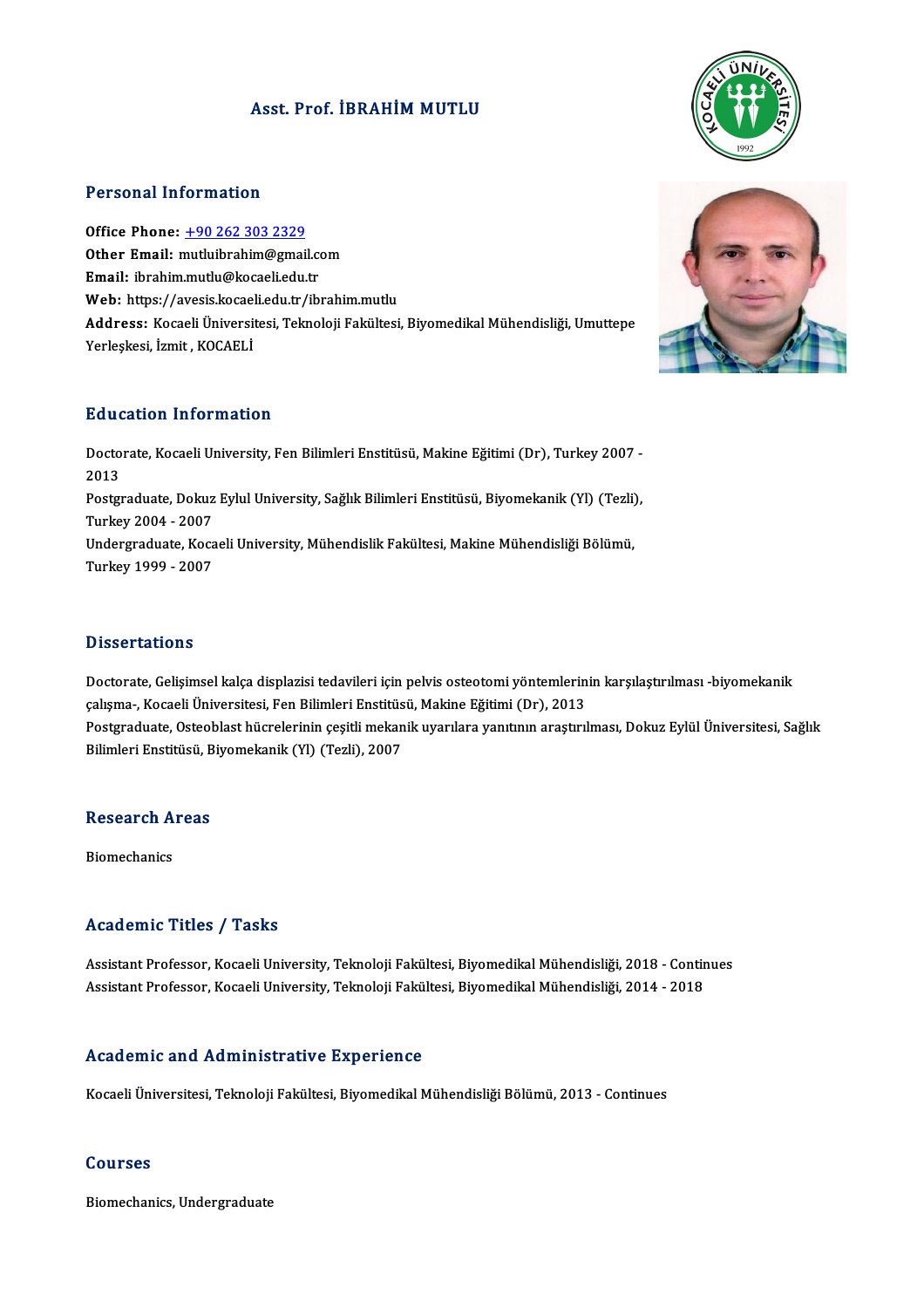### Asst. Prof. İBRAHİM MUTLU



#### Personal Information

Office Phone: +90 262 303 2329 office Phone: <u>+90 262 303 2329</u><br>Other Email: [mutluibrahim@gmai](tel:+90 262 303 2329)l.com<br>Email: ibrahim mutlu@kacaali.cdu.tr Office Phone: <u>+90 262 303 2329</u><br>Other Email: mutluibrahim@gmail.com<br>Email: ibrahim.mutlu@kocaeli.edu.tr Other Email: mutluibrahim@gmail.com<br>Email: ibrahim.mutlu@kocaeli.edu.tr<br>Web: https://avesis.kocaeli.edu.tr/ibrahim.mutlu<br>Addressy Kocaeli Üniversitesi Telmeleji Felsültesi Email: ibrahim.mutlu@kocaeli.edu.tr<br>Web: https://avesis.kocaeli.edu.tr/ibrahim.mutlu<br>Address: Kocaeli Üniversitesi, Teknoloji Fakültesi, Biyomedikal Mühendisliği, Umuttepe<br>Yerleşkesi, İzmit , KOCAELİ Web: https://avesis.kocael<br><mark>Address:</mark> Kocaeli Üniversit<br>Yerleşkesi, İzmit , KOCAELİ

#### Education Information

**Education Information**<br>Doctorate, Kocaeli University, Fen Bilimleri Enstitüsü, Makine Eğitimi (Dr), Turkey 2007 -<br>2013 Dutre<br>Docto<br>2013 Doctorate, Kocaeli University, Fen Bilimleri Enstitüsü, Makine Eğitimi (Dr), Turkey 2007 -<br>2013<br>Postgraduate, Dokuz Eylul University, Sağlık Bilimleri Enstitüsü, Biyomekanik (Yl) (Tezli),<br>Turkey 2004 - 2007 2013<br>Postgraduate, Dokuz<br>Turkey 2004 - 2007<br>Undergraduate *Vos*s Postgraduate, Dokuz Eylul University, Sağlık Bilimleri Enstitüsü, Biyomekanik (Yl) (Tezli)<br>Turkey 2004 - 2007<br>Undergraduate, Kocaeli University, Mühendislik Fakültesi, Makine Mühendisliği Bölümü,<br>Turkey 1000 - 2007 Turkey 2004 - 2007<br>Undergraduate, Kocaeli University, Mühendislik Fakültesi, Makine Mühendisliği Bölümü,<br>Turkey 1999 - 2007

#### **Dissertations**

Dissertations<br>Doctorate, Gelişimsel kalça displazisi tedavileri için pelvis osteotomi yöntemlerinin karşılaştırılması -biyomekanik<br>salısma, Kasaeli Üniversitesi, Ean Bilimleri Enstitüsü, Meltine Eğitimi (Dr.), 2012 rasser tatroms<br>Doctorate, Gelişimsel kalça displazisi tedavileri için pelvis osteotomi yöntemlerin<br>çalışma-, Kocaeli Üniversitesi, Fen Bilimleri Enstitüsü, Makine Eğitimi (Dr), 2013<br>Postanaduata Osteoblast büspelerinin ses Doctorate, Gelişimsel kalça displazisi tedavileri için pelvis osteotomi yöntemlerinin karşılaştırılması -biyomekanik<br>çalışma-, Kocaeli Üniversitesi, Fen Bilimleri Enstitüsü, Makine Eğitimi (Dr), 2013<br>Postgraduate, Osteobla çalışma-, Kocaeli Üniversitesi, Fen Bilimleri Enstitüsü, Makine Eğitimi (Dr), 2013<br>Postgraduate, Osteoblast hücrelerinin çeşitli mekanik uyarılara yanıtının araştırılması, Dokuz Eylül Üniversitesi, Sağlık<br>Bilimleri Enstitü

## Buimieri Ensulusu, B<br>Research Areas Re<mark>search A</mark><br>Biomechanics

# Biomechanics<br>Academic Titles / Tasks

Assistant Professor, Kocaeli University, Teknoloji Fakültesi, Biyomedikal Mühendisliği, 2018 - Continues AssistantProfessor,KocaeliUniversity,TeknolojiFakültesi,BiyomedikalMühendisliği,2014 -2018

#### Academic and Administrative Experience

Kocaeli Üniversitesi, Teknoloji Fakültesi, Biyomedikal Mühendisliği Bölümü, 2013 - Continues

#### Courses

Biomechanics, Undergraduate

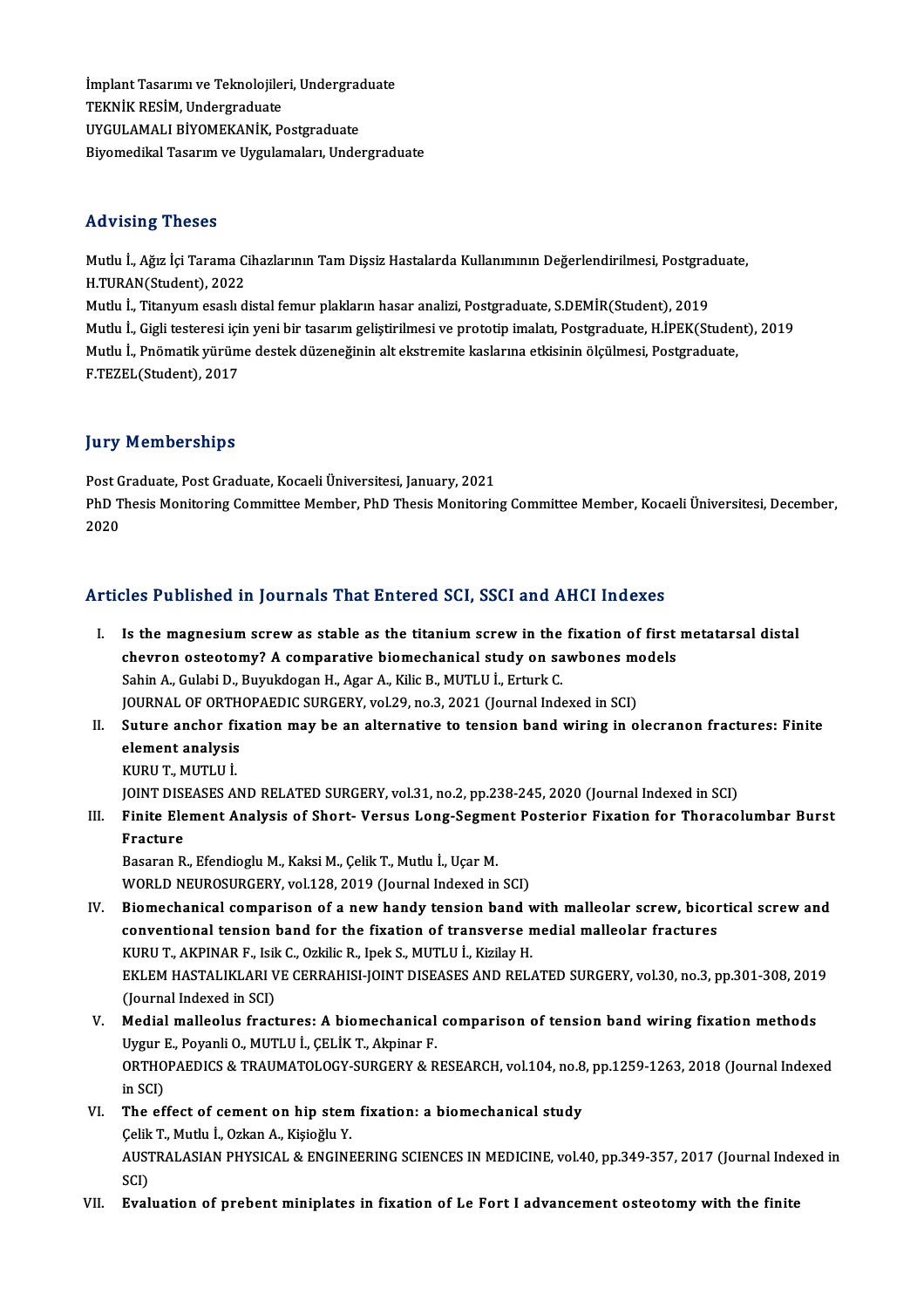İmplant Tasarımı ve Teknolojileri, Undergraduate<br>TEKNİK PESİM, Undergraduate İmplant Tasarımı ve Teknolojileı<br>TEKNİK RESİM, Undergraduate<br>UVCULAMALI RİVOMEKANİK, B. İmplant Tasarımı ve Teknolojileri, Undergrad<br>TEKNİK RESİM, Undergraduate<br>UYGULAMALI BİYOMEKANİK, Postgraduate<br>Biyomedilml Tesanım ve Hygulamalanı Hudel TEKNİK RESİM, Undergraduate<br>UYGULAMALI BİYOMEKANİK, Postgraduate<br>Biyomedikal Tasarım ve Uygulamaları, Undergraduate

#### Advising Theses

Advising Theses<br>Mutlu İ., Ağız İçi Tarama Cihazlarının Tam Dişsiz Hastalarda Kullanımının Değerlendirilmesi, Postgraduate,<br>H.TURAN(Student), 2022 1127121115<br>1128 Mutlu İ., Ağız İçi Tarama C.<br>H.TURAN(Student), 2022<br>Mutlu İ. Titanınım esseli d H.TURAN(Student), 2022<br>Mutlu İ., Titanyum esaslı distal femur plakların hasar analizi, Postgraduate, S.DEMİR(Student), 2019 H.TURAN(Student), 2022<br>Mutlu İ., Titanyum esaslı distal femur plakların hasar analizi, Postgraduate, S.DEMİR(Student), 2019<br>Mutlu İ., Gigli testeresi için yeni bir tasarım geliştirilmesi ve prototip imalatı, Postgraduate, Mutlu İ., Titanyum esaslı distal femur plakların hasar analizi, Postgraduate, S.DEMİR(Student), 2019<br>Mutlu İ., Gigli testeresi için yeni bir tasarım geliştirilmesi ve prototip imalatı, Postgraduate, H.İPEK(Studer<br>Mutlu İ., Mutlu İ., Gigli testeresi içi<br>Mutlu İ., Pnömatik yürüm<br>F.TEZEL(Student), 2017

# F.TEZEL(Student), 2017<br>Jury Memberships

Jury Memberships<br>Post Graduate, Post Graduate, Kocaeli Üniversitesi, January, 2021<br>PhD Thesis Monitering Committee Member, PhD Thesis Moniterin PhD Thesis Monitoring Committee Member, PhD Thesis Monitoring Committee Member, Kocaeli Üniversitesi, December,<br>2020 Post G<br>PhD T<br>2020

## Articles Published in Journals That Entered SCI, SSCI and AHCI Indexes

- rticles Published in Journals That Entered SCI, SSCI and AHCI Indexes<br>I. Is the magnesium screw as stable as the titanium screw in the fixation of first metatarsal distal<br>chauven estastemu? A compositive biomechanical stud Is the magnesium screw as stable as the titanium screw in the fixation of first<br>chevron osteotomy? A comparative biomechanical study on sawbones models<br>Sebin A Culebi D, Burukdegen H, Ager A, Kilia B, MUTHLI Brturk C Is the magnesium screw as stable as the titanium screw in the<br>chevron osteotomy? A comparative biomechanical study on sa<br>Sahin A., Gulabi D., Buyukdogan H., Agar A., Kilic B., MUTLU İ., Erturk C.<br>JOUPMAL OF OPTHOPAEDIC SUP chevron osteotomy? A comparative biomechanical study on sawbones models<br>Sahin A., Gulabi D., Buyukdogan H., Agar A., Kilic B., MUTLU İ., Erturk C.<br>JOURNAL OF ORTHOPAEDIC SURGERY, vol.29, no.3, 2021 (Journal Indexed in SCI) Sahin A., Gulabi D., Buyukdogan H., Agar A., Kilic B., MUTLU İ., Erturk C.<br>JOURNAL OF ORTHOPAEDIC SURGERY, vol.29, no.3, 2021 (Journal Indexed in SCI)<br>II. Suture anchor fixation may be an alternative to tension band wiring
- **JOURNAL OF ORTH<br>Suture anchor fix<br>element analysis<br>EUBU T. MUTI U İ** Suture anchor fi<br>element analysis<br>KURU T., MUTLU İ.<br>IONT DISEASES A element analysis<br>KURU T., MUTLU İ.<br>JOINT DISEASES AND RELATED SURGERY, vol.31, no.2, pp.238-245, 2020 (Journal Indexed in SCI)
	-

KURU T., MUTLU İ.<br>JOINT DISEASES AND RELATED SURGERY, vol.31, no.2, pp.238-245, 2020 (Journal Indexed in SCI)<br>III. Finite Element Analysis of Short- Versus Long-Segment Posterior Fixation for Thoracolumbar Burst<br>Fractu JOINT DISI<br>Finite Ele<br>Fracture<br>Pasaran P Finite Element Analysis of Short- Versus Long-Segme<br>Fracture<br>Basaran R., Efendioglu M., Kaksi M., Çelik T., Mutlu İ., Uçar M.<br>WORLD NEUROSURCERY vel 128-2019 (Journal Indoved in

Fracture<br>Basaran R., Efendioglu M., Kaksi M., Çelik T., Mutlu İ., Uçar M.<br>WORLD NEUROSURGERY, vol.128, 2019 (Journal Indexed in SCI)

- Basaran R., Efendioglu M., Kaksi M., Çelik T., Mutlu İ., Uçar M.<br>WORLD NEUROSURGERY, vol.128, 2019 (Journal Indexed in SCI)<br>IV. Biomechanical comparison of a new handy tension band with malleolar screw, bicortical screw an WORLD NEUROSURGERY, vol.128, 2019 (Journal Indexed in SCI)<br>Biomechanical comparison of a new handy tension band with malleolar screw, bicor<br>conventional tension band for the fixation of transverse medial malleolar fracture Biomechanical comparison of a new handy tension band v<br>conventional tension band for the fixation of transverse n<br>KURU T., AKPINAR F., Isik C., Ozkilic R., Ipek S., MUTLU İ., Kizilay H.<br>EVI EM HASTALIKLARI VE CERRAHISLIONT conventional tension band for the fixation of transverse medial malleolar fractures<br>KURU T., AKPINAR F., Isik C., Ozkilic R., Ipek S., MUTLU İ., Kizilay H.<br>EKLEM HASTALIKLARI VE CERRAHISI-JOINT DISEASES AND RELATED SURGERY KURU T., AKPINAR F., Isik<br>EKLEM HASTALIKLARI V<br>(Journal Indexed in SCI)<br>Medial mallaalus frast EKLEM HASTALIKLARI VE CERRAHISI-JOINT DISEASES AND RELATED SURGERY, vol.30, no.3, pp.301-308, 201'<br>(Journal Indexed in SCI)<br>V. Medial malleolus fractures: A biomechanical comparison of tension band wiring fixation methods<br>
- (Journal Indexed in SCI)<br>Medial malleolus fractures: A biomechanical<br>Uygur E., Poyanli O., MUTLU İ., ÇELİK T., Akpinar F.<br>OPTHOPAEDICS & TRAJIMATOLOCY SUPCERY & P. V. Medial malleolus fractures: A biomechanical comparison of tension band wiring fixation methods<br>Uygur E., Poyanli O., MUTLU İ., ÇELİK T., Akpinar F.<br>ORTHOPAEDICS & TRAUMATOLOGY-SURGERY & RESEARCH, vol.104, no.8, pp.1259-Uygur I<br>ORTHO<br>in SCI)<br>The ef ORTHOPAEDICS & TRAUMATOLOGY-SURGERY & RESEARCH, vol.104, no.8<br>in SCI)<br>VI. The effect of cement on hip stem fixation: a biomechanical study<br>Collis T. Muthy L. Orkan A. Visiačhy V.
- in SCI)<br>The effect of cement on hip stem<br>Çelik T., Mutlu İ., Ozkan A., Kişioğlu Y.<br>AUSTRALASIAN PHYSICAL & ENGINE The effect of cement on hip stem fixation: a biomechanical study<br>Çelik T., Mutlu İ., Ozkan A., Kişioğlu Y.<br>AUSTRALASIAN PHYSICAL & ENGINEERING SCIENCES IN MEDICINE, vol.40, pp.349-357, 2017 (Journal Indexed in<br>SCD Çelik<br>AUST<br>SCI)<br>Eval AUSTRALASIAN PHYSICAL & ENGINEERING SCIENCES IN MEDICINE, vol.40, pp.349-357, 2017 (Journal Inde<br>SCI)<br>VII. Evaluation of prebent miniplates in fixation of Le Fort I advancement osteotomy with the finite
-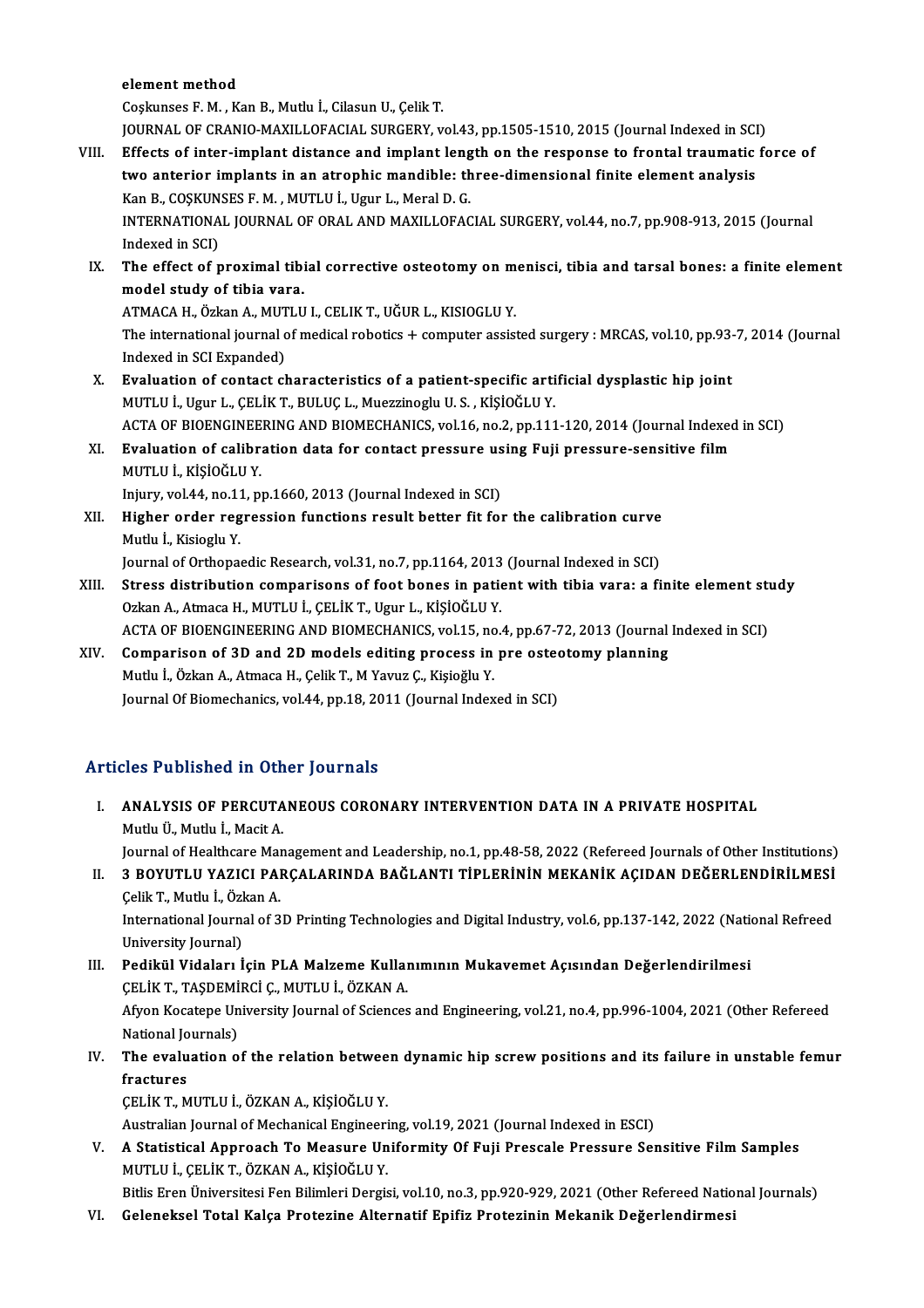#### element method

Coşkunses F.M. ,KanB.,Mutlu İ.,CilasunU.,ÇelikT. element method<br>Coşkunses F. M. , Kan B., Mutlu İ., Cilasun U., Çelik T.<br>JOURNAL OF CRANIO-MAXILLOFACIAL SURGERY, vol.43, pp.1505-1510, 2015 (Journal Indexed in SCI)<br>Effects of inten implant distance and implant length on t Coskunses F. M. , Kan B., Mutlu İ., Cilasun U., Çelik T.<br>JOURNAL OF CRANIO-MAXILLOFACIAL SURGERY, vol.43, pp.1505-1510, 2015 (Journal Indexed in SCI)<br>VIII. Effects of inter-implant distance and implant length on the respon

- JOURNAL OF CRANIO-MAXILLOFACIAL SURGERY, vol.43, pp.1505-1510, 2015 (Journal Indexed in SCI<br>Effects of inter-implant distance and implant length on the response to frontal traumatic<br>two anterior implants in an atrophic man Effects of inter-implant distance and implant lengtwo anterior implants in an atrophic mandible: th<br>Kan B., COŞKUNSES F.M. , MUTLU İ., Ugur L., Meral D. G.<br>INTERNATIONAL JOURNAL OF ORAL AND MAYU LOFAC two anterior implants in an atrophic mandible: three-dimensional finite element analysis<br>Kan B., COŞKUNSES F. M. , MUTLU İ., Ugur L., Meral D. G.<br>INTERNATIONAL JOURNAL OF ORAL AND MAXILLOFACIAL SURGERY, vol.44, no.7, pp.90 Kan B., COŞKUN<br>INTERNATIONA<br>Indexed in SCI)<br>The effect of r INTERNATIONAL JOURNAL OF ORAL AND MAXILLOFACIAL SURGERY, vol.44, no.7, pp.908-913, 2015 (Journal Indexed in SCI)<br>IX. The effect of proximal tibial corrective osteotomy on menisci, tibia and tarsal bones: a finite element<br>m
- Indexed in SCI)<br>The effect of proximal tibi<br>model study of tibia vara.<br>ATMACA H. Örkan A. MUTU The effect of proximal tibial corrective osteotomy on m<br>model study of tibia vara.<br>ATMACA H., Özkan A., MUTLU I., CELIK T., UĞUR L., KISIOGLU Y.<br>The international journal of medical rebatiss, L. semnuter essist

ATMACA H., Özkan A., MUTLU I., CELIK T., UĞUR L., KISIOGLU Y.

model study of tibia vara.<br>ATMACA H., Özkan A., MUTLU I., CELIK T., UĞUR L., KISIOGLU Y.<br>The international journal of medical robotics + computer assisted surgery : MRCAS, vol.10, pp.93-7, 2014 (Journal<br>Indexed in SCI Expa The international journal of medical robotics + computer assisted surgery : MRCAS, vol.10, pp.93-<br>Indexed in SCI Expanded)<br>X. Evaluation of contact characteristics of a patient-specific artificial dysplastic hip joint<br>MITH

Indexed in SCI Expanded)<br><mark>Evaluation of contact characteristics of a patient-specific arti</mark><br>MUTLU İ., Ugur L., ÇELİK T., BULUÇ L., Muezzinoglu U. S. , KİŞİOĞLU Y.<br>ACTA OF PIOENCINEEPINC AND PIOMECHANICS .val 16 no 2 nn 111 Evaluation of contact characteristics of a patient-specific artificial dysplastic hip joint<br>MUTLU İ., Ugur L., ÇELİK T., BULUÇ L., Muezzinoglu U. S. , KİŞİOĞLU Y.<br>ACTA OF BIOENGINEERING AND BIOMECHANICS, vol.16, no.2, pp.1 MUTLU İ., Ugur L., ÇELİK T., BULUÇ L., Muezzinoglu U. S. , KİŞİOĞLU Y.<br>ACTA OF BIOENGINEERING AND BIOMECHANICS, vol.16, no.2, pp.111-120, 2014 (Journal Indexed<br>XI. Bvaluation of calibration data for contact pressure using

## ACTA OF BIOENGINEE<br>**Evaluation of calibr**<br>MUTLU İ., KİŞİOĞLU Y.<br>Inium: vol 44 no 11 n XI. Evaluation of calibration data for contact pressure using Fuji pressure-sensitive film<br>MUTLU I., KISIOĞLU Y.

MUTLU İ., KİŞİOĞLU Y.<br>Injury, vol.44, no.11, pp.1660, 2013 (Journal Indexed in SCI)<br>XII. Higher order regression functions result better fit for the calibration curve<br>Mutly L. Kisiogly Y. Injury, vol.44, no.11, pp.1660, 2013 (Journal Indexed in SCI)<br>Higher order regression functions result better fit for the calibration curve<br>Mutlu İ., Kisioglu Y.<br>Journal of Orthopaedic Research, vol.31, no.7, pp.1164, 2013 Higher order regression functions result better fit for the calibration curve<br>Mutlu İ., Kisioglu Y.<br>Journal of Orthopaedic Research, vol.31, no.7, pp.1164, 2013 (Journal Indexed in SCI)<br>Stress distribution comparisons of f

## Mutlu İ., Kisioglu Y.<br>Journal of Orthopaedic Research, vol.31, no.7, pp.1164, 2013 (Journal Indexed in SCI)<br>XIII. Stress distribution comparisons of foot bones in patient with tibia vara: a finite element study<br>Orkan A. At Journal of Orthopaedic Research, vol.31, no.7, pp.1164, 2013<br>Stress distribution comparisons of foot bones in patio<br>Ozkan A., Atmaca H., MUTLU İ., ÇELİK T., Ugur L., KİŞİOĞLU Y.<br>ACTA OF PIOENCINEERING AND PIOMECHANICS .vol Stress distribution comparisons of foot bones in patient with tibia vara: a finite element str<br>Ozkan A., Atmaca H., MUTLU İ., ÇELİK T., Ugur L., KİŞİOĞLU Y.<br>ACTA OF BIOENGINEERING AND BIOMECHANICS, vol.15, no.4, pp.67-72, Ozkan A., Atmaca H., MUTLU İ., ÇELİK T., Ugur L., KİŞİOĞLU Y.<br>ACTA OF BIOENGINEERING AND BIOMECHANICS, vol.15, no.4, pp.67-72, 2013 (Journal<br>XIV. Comparison of 3D and 2D models editing process in pre osteotomy planning<br>Mut

ACTA OF BIOENGINEERING AND BIOMECHANICS, vol.15, no<br>Comparison of 3D and 2D models editing process in<br>Mutlu İ., Özkan A., Atmaca H., Çelik T., M Yavuz Ç., Kişioğlu Y.<br>Journal Of Biomachanics vol.44, np.18, 2011 (Journal In Comparison of 3D and 2D models editing process in pre osteotomy planning<br>Mutlu İ., Özkan A., Atmaca H., Çelik T., M Yavuz Ç., Kişioğlu Y.<br>Journal Of Biomechanics, vol.44, pp.18, 2011 (Journal Indexed in SCI)

## Articles Published in Other Journals

rticles Published in Other Journals<br>I. ANALYSIS OF PERCUTANEOUS CORONARY INTERVENTION DATA IN A PRIVATE HOSPITAL ANALYSIS OF PERCUTA<br>Mutlu Ü., Mutlu İ., Macit A.<br>Journal of Healthcare Man Mutlu Ü., Mutlu İ., Macit A.<br>Journal of Healthcare Management and Leadership, no.1, pp.48-58, 2022 (Refereed Journals of Other Institutions) Mutlu Ü., Mutlu İ., Macit A.<br>Journal of Healthcare Management and Leadership, no.1, pp.48-58, 2022 (Refereed Journals of Other Institutions)<br>II. 3 BOYUTLU YAZICI PARÇALARINDA BAĞLANTI TİPLERİNİN MEKANİK AÇIDAN DEĞERLENDİRİ

## Journal of Healthcare Mai<br>3 BOYUTLU YAZICI PAI<br>Çelik T., Mutlu İ., Özkan A.<br>International Journal of 3 3 BOYUTLU YAZICI PARÇALARINDA BAĞLANTI TİPLERİNİN MEKANİK AÇIDAN DEĞERLENDİRİLMESİ<br>Çelik T., Mutlu İ., Özkan A.<br>International Journal of 3D Printing Technologies and Digital Industry, vol.6, pp.137-142, 2022 (National Refr Çelik T., Mutlu İ., Özkan A.<br>International Journal of 3D Printing Technologies and Digital Industry, vol.6, pp.137-142, 2022 (National Refreed<br>University Journal)

## International Journal of 3D Printing Technologies and Digital Industry, vol.6, pp.137-142, 2022 (National University Journal)<br>III. Pedikül Vidaları İçin PLA Malzeme Kullanımının Mukavemet Açısından Değerlendirilmesi<br>CELİK University Journal)<br>Pedikül Vidaları İçin PLA Malzeme Kullaı<br>ÇELİK T., TAŞDEMİRCİ Ç., MUTLU İ., ÖZKAN A.<br>Afron Kosatone University Journal of Ssiensse Pedikül Vidaları İçin PLA Malzeme Kullanımının Mukavemet Açısından Değerlendirilmesi<br>ÇELİK T., TAŞDEMİRCİ Ç., MUTLU İ., ÖZKAN A.<br>Afyon Kocatepe University Journal of Sciences and Engineering, vol.21, no.4, pp.996-1004, 202 CELIK T., TAŞDEMI<br>Afyon Kocatepe Un<br>National Journals)<br>The evaluation e Afyon Kocatepe University Journal of Sciences and Engineering, vol.21, no.4, pp.996-1004, 2021 (Other Refereed<br>National Journals)<br>IV. The evaluation of the relation between dynamic hip screw positions and its failure in un

## National Jo<br>The evalu<br>fractures<br>CELIV T. M The evaluation of the relation betwee<br>fractures<br>ÇELİK T., MUTLU İ., ÖZKAN A., KİŞİOĞLU Y.<br>Australian Jaurnal of Mashanisal Engineeri fractures<br>ÇELİK T., MUTLU İ., ÖZKAN A., KİŞİOĞLU Y.<br>Australian Journal of Mechanical Engineering, vol.19, 2021 (Journal Indexed in ESCI)

V. A Statistical Approach To Measure Uniformity Of Fuji Prescale Pressure Sensitive FilmSamples MUTLUİ.,ÇELİKT.,ÖZKANA.,KİŞİOĞLUY. A Statistical Approach To Measure Uniformity Of Fuji Prescale Pressure Sensitive Film Samples<br>MUTLU İ., ÇELİK T., ÖZKAN A., KİŞİOĞLU Y.<br>Bitlis Eren Üniversitesi Fen Bilimleri Dergisi, vol.10, no.3, pp.920-929, 2021 (Other MUTLU İ., ÇELİK T., ÖZKAN A., KİŞİOĞLU Y.<br>Bitlis Eren Üniversitesi Fen Bilimleri Dergisi, vol.10, no.3, pp.920-929, 2021 (Other Refereed Natio<br>VI. Geleneksel Total Kalça Protezine Alternatif Epifiz Protezinin Mekanik D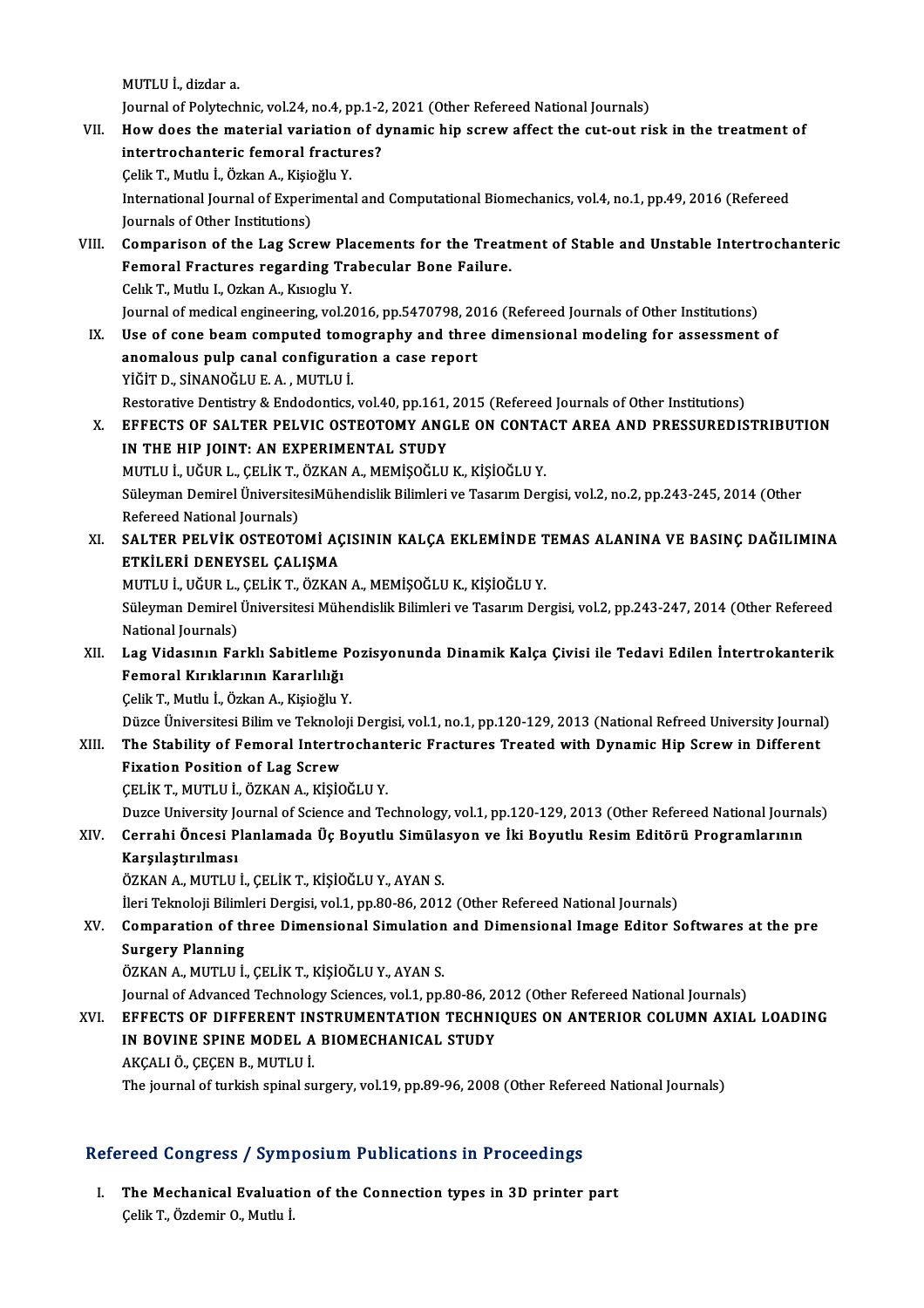MUTLUİ.,dizdar a.

MUTLU İ., dizdar a.<br>Journal of Polytechnic, vol.24, no.4, pp.1-2, 2021 (Other Refereed National Journals)<br>How does the material veriation of dynamis bin serew affect the syt eut ri VII. How does the material variation of dynamic hip screw affect the cut-out risk in the treatment of intertrochanteric femoral fractures? Journal of Polytechnic, vol.24, no.4, pp.1-2<br>How does the material variation of d<br>intertrochanteric femoral fractures?<br>Celik T. Muth: L. Örkan A. Kisioğlu V. How does the material variation<br>intertrochanteric femoral fractu:<br>Çelik T., Mutlu İ., Özkan A., Kişioğlu Y.<br>International Journal of Exnerimenta International Journal of Experimental and Computational Biomechanics, vol.4, no.1, pp.49, 2016 (Refereed Journals of Other Institutions) Çelik T., Mutlu İ., Özkan A., Kişic<br>International Journal of Experi<br>Journals of Other Institutions)<br>Comparison of the Lag Sers International Journal of Experimental and Computational Biomechanics, vol.4, no.1, pp.49, 2016 (Refereed<br>Journals of Other Institutions)<br>VIII. Comparison of the Lag Screw Placements for the Treatment of Stable and Unstable Journals of Other Institutions)<br>Comparison of the Lag Screw Placements for the Treat<br>Femoral Fractures regarding Trabecular Bone Failure.<br>Celik T. Muthy L. Orkan A. Kusashy Y. Femoral Fractures regarding Trabecular Bone Failure.<br>Celık T., Mutlu I., Ozkan A., Kısıoglu Y. Journal of medical engineering, vol.2016, pp.5470798, 2016 (Refereed Journals of Other Institutions) IX. Use of cone beam computed tomography and three dimensional modeling for assessment of Journal of medical engineering, vol.2016, pp.5470798, 20<br>Use of cone beam computed tomography and thre<br>anomalous pulp canal configuration a case report<br>vičinn, sinANOČLUE A, MUTULLI Use of cone beam computed tom<br>anomalous pulp canal configurat<br>YİĞİT D., SİNANOĞLU E. A. , MUTLU İ.<br>Bestarative Dantistry & Endedentise anomalous pulp canal configuration a case report<br>YİĞİT D., SİNANOĞLU E. A. , MUTLU İ.<br>Restorative Dentistry & Endodontics, vol.40, pp.161, 2015 (Refereed Journals of Other Institutions)<br>FEFECTS OF SALTER RELVIC OSTEOTOMY A YİĞİT D., SİNANOĞLU E. A. , MUTLU İ.<br>Restorative Dentistry & Endodontics, vol.40, pp.161, 2015 (Refereed Journals of Other Institutions)<br>X. EFFECTS OF SALTER PELVIC OSTEOTOMY ANGLE ON CONTACT AREA AND PRESSUREDISTRIBUTION<br> Restorative Dentistry & Endodontics, vol.40, pp.161,<br>EFFECTS OF SALTER PELVIC OSTEOTOMY ANG<br>IN THE HIP JOINT: AN EXPERIMENTAL STUDY<br>MUTHLI HÖURL CELIKT ÖZKAN A MEMISOĞLU EFFECTS OF SALTER PELVIC OSTEOTOMY ANGLE ON CONTA<br>IN THE HIP JOINT: AN EXPERIMENTAL STUDY<br>MUTLU İ., UĞUR L., ÇELİK T., ÖZKAN A., MEMİŞOĞLU K., KİŞİOĞLU Y.<br>Sülayman Damiyal ÜniversitesiMühandialik Bilimleri ve Tasarım Dan IN THE HIP JOINT: AN EXPERIMENTAL STUDY<br>MUTLU İ., UĞUR L., ÇELİK T., ÖZKAN A., MEMİŞOĞLU K., KİŞİOĞLU Y.<br>Süleyman Demirel ÜniversitesiMühendislik Bilimleri ve Tasarım Dergisi, vol.2, no.2, pp.243-245, 2014 (Other<br>Refereed MUTLU İ., UĞUR L., ÇELİK T.,<br>Süleyman Demirel Üniversite<br>Refereed National Journals)<br>SALTER RELVİK OSTEOTO Süleyman Demirel ÜniversitesiMühendislik Bilimleri ve Tasarım Dergisi, vol.2, no.2, pp.243-245, 2014 (Other<br>Refereed National Journals)<br>XI. SALTER PELVİK OSTEOTOMİ AÇISININ KALÇA EKLEMİNDE TEMAS ALANINA VE BASINÇ DAĞILIMIN Refereed National Journals)<br>SALTER PELVİK OSTEOTOMİ AÇ<br>ETKİLERİ DENEYSEL ÇALIŞMA<br>MUTULİ HĞURL CELİKT ÖZKAN SALTER PELVİK OSTEOTOMİ AÇISININ KALÇA EKLEMİNDE T<br>ETKİLERİ DENEYSEL ÇALIŞMA<br>MUTLU İ., UĞUR L., ÇELİK T., ÖZKAN A., MEMİŞOĞLU K., KİŞİOĞLU Y.<br>Sülayman Demirel Üniversitesi Mühandislik Bilimleri ve Tasarım Det ETKİLERİ DENEYSEL ÇALIŞMA<br>MUTLU İ., UĞUR L., ÇELİK T., ÖZKAN A., MEMİŞOĞLU K., KİŞİOĞLU Y.<br>Süleyman Demirel Üniversitesi Mühendislik Bilimleri ve Tasarım Dergisi, vol.2, pp.243-247, 2014 (Other Refereed<br>National Journale) MUTLU İ., UĞUR L.,<br>Süleyman Demirel<br>National Journals)<br>Lag Videsunun Fe Süleyman Demirel Üniversitesi Mühendislik Bilimleri ve Tasarım Dergisi, vol.2, pp.243-247, 2014 (Other Refereed<br>National Journals)<br>XII. Lag Vidasının Farklı Sabitleme Pozisyonunda Dinamik Kalça Çivisi ile Tedavi Edilen National Journals)<br>XII. Lag Vidasının Farklı Sabitleme Pozisyonunda Dinamik Kalça Çivisi ile Tedavi Edilen İntertrokanterik<br>Femoral Kırıklarının Kararlılığı ÇelikT.,Mutlu İ.,ÖzkanA.,KişioğluY. Femoral Kırıklarının Kararlılığı<br>Çelik T., Mutlu İ., Özkan A., Kişioğlu Y.<br>Düzce Üniversitesi Bilim ve Teknoloji Dergisi, vol.1, no.1, pp.120-129, 2013 (National Refreed University Journal)<br>The Stability of Femoral Intertr Celik T., Mutlu İ., Özkan A., Kişioğlu Y.<br>Düzce Üniversitesi Bilim ve Teknoloji Dergisi, vol.1, no.1, pp.120-129, 2013 (National Refreed University Journal<br>XIII. The Stability of Femoral Intertrochanteric Fractures Tre Düzce Üniversitesi Bilim ve Teknolo<br>The Stability of Femoral Intertr<br>Fixation Position of Lag Screw<br>CELIK T. MUTULL ÖZKAN A. KISIO XIII. The Stability of Femoral Intertrochanteric Fractures Treated with Dynamic Hip Screw in Different<br>Fixation Position of Lag Screw<br>CELIK T., MUTLU İ., ÖZKAN A., KİŞİOĞLU Y. Fixation Position of Lag Screw<br>ÇELİK T., MUTLU İ., ÖZKAN A., KİŞİOĞLU Y.<br>Duzce University Journal of Science and Technology, vol.1, pp.120-129, 2013 (Other Refereed National Journals)<br>Carrahi Önsesi Planlamada Üs Boyutlu S CELİK T., MUTLU İ., ÖZKAN A., KİŞİOĞLU Y.<br>Duzce University Journal of Science and Technology, vol.1, pp.120-129, 2013 (Other Refereed National Journa<br>Karalastırılması<br>Karalastırılması Duzce University Jonesi<br>Perrahi Öncesi P<br>Karşılaştırılması<br>ÖZKAN A. MUTUU Cerrahi Öncesi Planlamada Üç Boyutlu Simüla<br>Karşılaştırılması<br>ÖZKAN A., MUTLU İ., ÇELİK T., KİŞİOĞLU Y., AYAN S.<br>İleri Telmoleji Bilimleri Dergisi vel 1-np 90,96, 2011 Karşılaştırılması<br>ÖZKAN A., MUTLU İ., ÇELİK T., KİŞİOĞLU Y., AYAN S.<br>İleri Teknoloji Bilimleri Dergisi, vol.1, pp.80-86, 2012 (Other Refereed National Journals) ÖZKAN A., MUTLU İ., ÇELİK T., KİŞİOĞLU Y., AYAN S.<br>İleri Teknoloji Bilimleri Dergisi, vol.1, pp.80-86, 2012 (Other Refereed National Journals)<br>XV. Comparation of three Dimensional Simulation and Dimensional Image Edito İleri Teknoloji Biliml<br>Comparation of th<br>Surgery Planning<br>ÖZKAN A-MITI U İ Comparation of three Dimensional Simulation<br>Surgery Planning<br>ÖZKAN A., MUTLU İ., ÇELİK T., KİŞİOĞLU Y., AYAN S.<br>Journal of Advanced Technology Sciences vol 1 nn Surgery Planning<br>ÖZKAN A., MUTLU İ., ÇELİK T., KİŞİOĞLU Y., AYAN S.<br>Journal of Advanced Technology Sciences, vol.1, pp.80-86, 2012 (Other Refereed National Journals)<br>FEFECTS OF DIEFERENT INSTRUMENTATION TECHNIQUES ON ANTER ÖZKAN A., MUTLU İ., ÇELİK T., KİŞİOĞLU Y., AYAN S.<br>Journal of Advanced Technology Sciences, vol.1, pp.80-86, 2012 (Other Refereed National Journals)<br>XVI. EFFECTS OF DIFFERENT INSTRUMENTATION TECHNIQUES ON ANTERIOR COL Journal of Advanced Technology Sciences, vol.1, pp.80-86, 20<br>EFFECTS OF DIFFERENT INSTRUMENTATION TECHNI<br>IN BOVINE SPINE MODEL A BIOMECHANICAL STUDY<br>AKCALLÖ CECEN B. MUTLU İ EFFECTS OF DIFFERENT IN<br>IN BOVINE SPINE MODEL A<br>AKÇALI Ö., ÇEÇEN B., MUTLU İ.<br>The journal of turkish spinal su IN BOVINE SPINE MODEL A BIOMECHANICAL STUDY<br>AKÇALI Ö., ÇEÇEN B., MUTLU İ.<br>The journal of turkish spinal surgery, vol.19, pp.89-96, 2008 (Other Refereed National Journals)

### Refereed Congress / Symposium Publications in Proceedings

efereed Congress / Symposium Publications in Proceedings<br>I. The Mechanical Evaluation of the Connection types in 3D printer part Teca Gongress 7 by m<br>The Mechanical Evaluati<br>Çelik T., Özdemir O., Mutlu İ.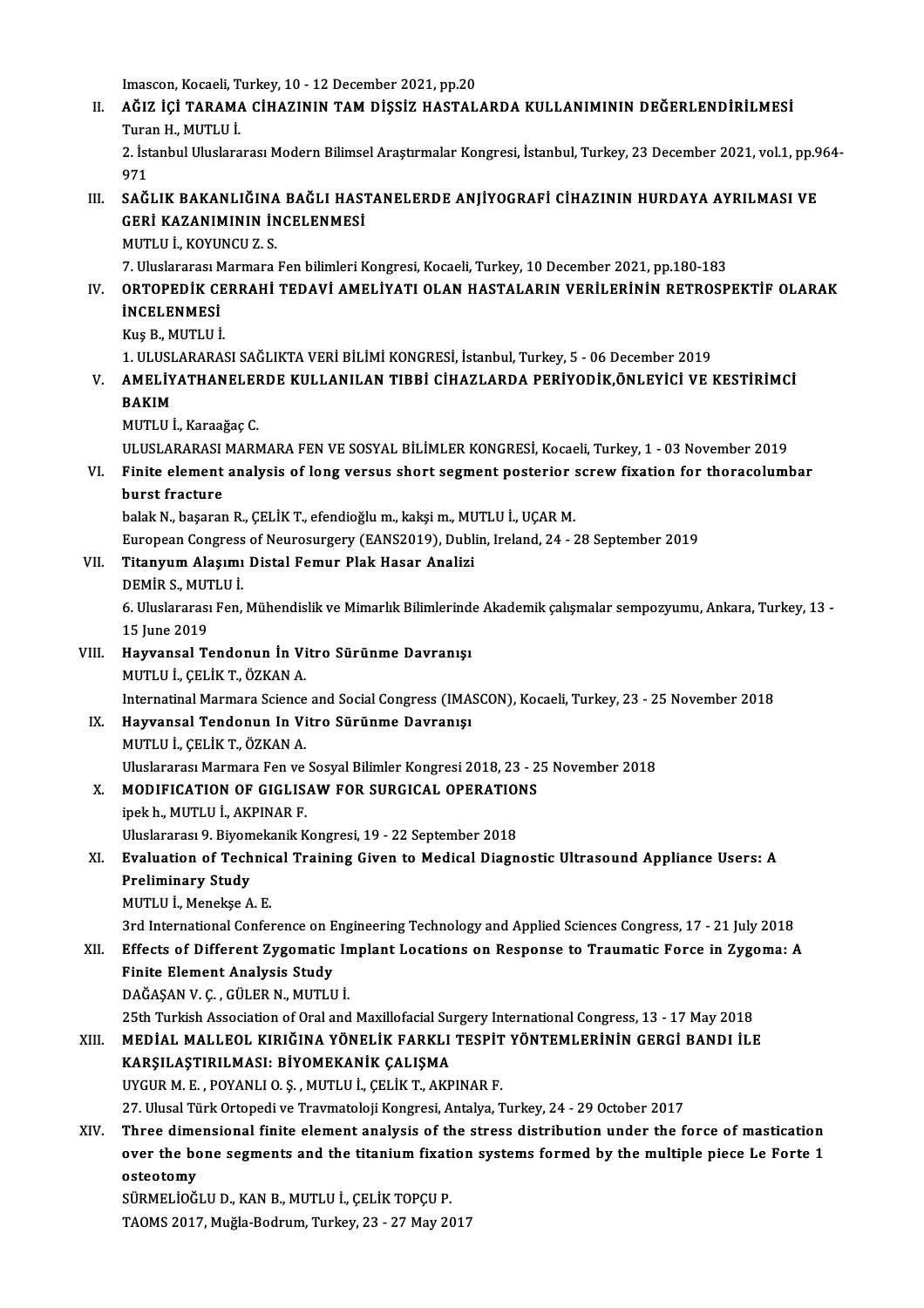Imascon, Kocaeli, Turkey, 10 - 12 December 2021, pp.20

Imascon, Kocaeli, Turkey, 10 - 12 December 2021, pp.20<br>II. AĞIZ İÇİ TARAMA CİHAZININ TAM DİŞSİZ HASTALARDA KULLANIMININ DEĞERLENDİRİLMESİ<br>Turqı H. MITUJI Imascon, Kocaeli, T<br><mark>AĞIZ İÇİ TARAM*!*<br>Turan H., MUTLU İ.</mark><br>2. İstanbul Uluslara AĞIZ İÇİ TARAMA CİHAZININ TAM DİŞSİZ HASTALARDA KULLANIMININ DEĞERLENDİRİLMESİ<br>Turan H., MUTLU İ.<br>2. İstanbul Uluslararası Modern Bilimsel Araştırmalar Kongresi, İstanbul, Turkey, 23 December 2021, vol.1, pp.964-<br>971

Turan H., MUTLU İ.<br>2. İstanbul Uluslararası Modern Bilimsel Araştırmalar Kongresi, İstanbul, Turkey, 23 December 2021, vol.1, pp.964-<br>971 2. İstanbul Uluslararası Modern Bilimsel Araştırmalar Kongresi, İstanbul, Turkey, 23 December 2021, vol.1, pp.9<br>971<br>III. SAĞLIK BAKANLIĞINA BAĞLI HASTANELERDE ANJİYOGRAFİ CİHAZININ HURDAYA AYRILMASI VE<br>CERİ KAZANIMININ İNC

971<br>SAĞLIK BAKANLIĞINA BAĞLI HASI<br>GERİ KAZANIMININ İNCELENMESİ<br>MUTULI, KOYUNCU 7-S SAĞLIK BAKANLIĞINA<br>GERİ KAZANIMININ İN<br>MUTLU İ., KOYUNCU Z. S.<br>7. Husbraresi Marmara GERİ KAZANIMININ İNCELENMESİ<br>MUTLU İ., KOYUNCU Z. S.<br>7. Uluslararası Marmara Fen bilimleri Kongresi, Kocaeli, Turkey, 10 December 2021, pp.180-183<br>ORTOREDİK CERRAHİ TEDAVİ AMELİYATLOLAN HASTALARIN VERLI ERİNİN RETROSR

## MUTLU İ., KOYUNCU Z. S.<br>7. Uluslararası Marmara Fen bilimleri Kongresi, Kocaeli, Turkey, 10 December 2021, pp.180-183<br>IV. ORTOPEDİK CERRAHİ TEDAVİ AMELİYATI OLAN HASTALARIN VERİLERİNİN RETROSPEKTİF OLARAK<br>İNCELENMESİ 7. Uluslararası M<br>ORTOPEDİK CI<br>İNCELENMESİ<br>Kus B. MUTULİ ORTOPEDİK CE<br>İNCELENMESİ<br>Kuş B., MUTLU İ.<br>1. HI HSLARARA **İNCELENMESİ**<br>Kuş B., MUTLU İ.<br>1. ULUSLARARASI SAĞLIKTA VERİ BİLİMİ KONGRESİ, İstanbul, Turkey, 5 - 06 December 2019

## Kuş B., MUTLU İ.<br>1. ULUSLARARASI SAĞLIKTA VERİ BİLİMİ KONGRESİ, İstanbul, Turkey, 5 - 06 December 2019<br>1. AMELİYATHANELERDE KULLANILAN TIBBİ CİHAZLARDA PERİYODİK,ÖNLEYİCİ VE KESTİRİMCİ<br>1. BAKIM 1. ULUS<mark>L<br>AMELİY</mark><br>BAKIM <mark>AMELİYATHANELEF</mark><br>BAKIM<br>MUTLU İ., Karaağaç C.<br>ULUSLARARASI MARA BAKIM<br>MUTLU İ., Karaağaç C.<br>ULUSLARARASI MARMARA FEN VE SOSYAL BİLİMLER KONGRESİ, Kocaeli, Turkey, 1 - 03 November 2019

MUTLU İ., Karaağaç C.<br>ULUSLARARASI MARMARA FEN VE SOSYAL BİLİMLER KONGRESİ, Kocaeli, Turkey, 1 - 03 November 2019<br>VI. Finite element analysis of long versus short segment posterior screw fixation for thoracolumbar<br>hung ULUSLARARASI<br>Finite element<br>burst fracture<br>belek N. becarar Finite element analysis of long versus short segment posterior :<br>burst fracture<br>balak N., başaran R., ÇELİK T., efendioğlu m., kakşi m., MUTLU İ., UÇAR M.<br>European Congress of Neurosursery (EANS2010), Dublin Jueland, 24 burst fracture<br>balak N., başaran R., ÇELİK T., efendioğlu m., kakşi m., MUTLU İ., UÇAR M.<br>European Congress of Neurosurgery (EANS2019), Dublin, Ireland, 24 - 28 September 2019<br>Titanyum Alasımı Distal Fomur Plak Hasar Anali

## balak N., başaran R., ÇELİK T., efendioğlu m., kakşi m., MU<br>European Congress of Neurosurgery (EANS2019), Dubli<br>VII. Titanyum Alaşımı Distal Femur Plak Hasar Analizi<br>DEMİR S. MUTI U İ European Congress<br><mark>Titanyum Alaşımı</mark><br>DEMİR S., MUTLU İ.<br>6. Uluslararası Fon

Titanyum Alaşımı Distal Femur Plak Hasar Analizi<br>DEMİR S., MUTLU İ.<br>6. Uluslararası Fen, Mühendislik ve Mimarlık Bilimlerinde Akademik çalışmalar sempozyumu, Ankara, Turkey, 13 -<br>15 Iune 2019 DEMIR S., MUT<br>6. Uluslararası<br>15 June 2019<br>Hayyansal Te 6. Uluslararası Fen, Mühendislik ve Mimarlık Bilimlerind<br>15 June 2019<br>VIII. Hayvansal Tendonun İn Vitro Sürünme Davranışı<br>MUTULL GELİK T. ÖZKAN A

15 June 2019<br>Hayvansal Tendonun İn Vi<br>MUTLU İ., ÇELİK T., ÖZKAN A.<br>Internatinal Mermere Science MUTLU İ., ÇELİK T., ÖZKAN A.<br>Internatinal Marmara Science and Social Congress (IMASCON), Kocaeli, Turkey, 23 - 25 November 2018

## MUTLU İ., ÇELİK T., ÖZKAN A.<br>Internatinal Marmara Science and Social Congress (IMA:<br>IX. Hayvansal Tendonun In Vitro Sürünme Davranışı<br>MUTLU İ. ÇELİK T. ÖZKAN A. Internatinal Marmara Science<br>Hayvansal Tendonun In Vi<br>MUTLU İ., ÇELİK T., ÖZKAN A.<br>Uluslararası Marmara Fan ve MUTLU İ., ÇELİK T., ÖZKAN A.<br>Uluslararası Marmara Fen ve Sosyal Bilimler Kongresi 2018, 23 - 25 November 2018 MUTLU İ., ÇELİK T., ÖZKAN A.<br>Uluslararası Marmara Fen ve Sosyal Bilimler Kongresi 2018, 23 - 2<br>X. MODIFICATION OF GIGLISAW FOR SURGICAL OPERATIONS<br>inek b. MUTLU İ. AKRINAR E

Uluslararası Marmara Fen ve<br>MODIFICATION OF GIGLIS.<br>ipek h., MUTLU İ., AKPINAR F.<br>Illuslararası 9. Biyamakanik K MODIFICATION OF GIGLISAW FOR SURGICAL OPERATION<br>ipek h., MUTLU İ., AKPINAR F.<br>Uluslararası 9. Biyomekanik Kongresi, 19 - 22 September 2018<br>Evalustion of Technical Training Given to Modical Diagn

## ipek h., MUTLU İ., AKPINAR F.<br>Uluslararası 9. Biyomekanik Kongresi, 19 - 22 September 2018<br>XI. Braluation of Technical Training Given to Medical Diagnostic Ultrasound Appliance Users: A<br>Preliminery Study Uluslararası 9. Biyom<br>Evaluation of Tech<br>Preliminary Study<br>MUTULI Monekse A Evaluation of Technic<br>Preliminary Study<br>MUTLU İ., Menekşe A. E.<br><sup>2rd International Confol</sup> Preliminary Study<br>MUTLU İ., Menekşe A. E.<br>3rd International Conference on Engineering Technology and Applied Sciences Congress, 17 - 21 July 2018<br>Effects of Different Zygematic Implant Legations on Pesnonse to Traumatic Fe

## MUTLU İ., Menekşe A. E.<br>3rd International Conference on Engineering Technology and Applied Sciences Congress, 17 - 21 July 2018<br>XII. Effects of Different Zygomatic Implant Locations on Response to Traumatic Force in Zy 3rd International Conference on E<br>Effects of Different Zygomatic<br>Finite Element Analysis Study<br>DAČASAN V.C. CÜLER N. MUTUL XII. Effects of Different Zygomatic Implant Locations on Response to Traumatic Force in Zygoma: A<br>Finite Element Analysis Study<br>DAĞAŞAN V. Ç. , GÜLER N., MUTLU İ. Finite Element Analysis Study<br>DAĞAŞAN V. Ç. , GÜLER N., MUTLU İ.<br>25th Turkish Association of Oral and Maxillofacial Surgery International Congress, 13 - 17 May 2018<br>MEDİAL MALLEOL KIRIĞINA YÖNELİK FARKLI TESRİT YÖNTEMI FRİ

## DAĞAŞAN V. Ç. , GÜLER N., MUTLU İ.<br>25th Turkish Association of Oral and Maxillofacial Surgery International Congress, 13 - 17 May 2018<br>21 XIII. MEDİAL MALLEOL KIRIĞINA YÖNELİK FARKLI TESPİT YÖNTEMLERİNİN GERGİ BANDI İLE 25th Turkish Association of Oral and Maxillofacial Su<br>MEDİAL MALLEOL KIRIĞINA YÖNELİK FARKLI<br>KARŞILAŞTIRILMASI: BİYOMEKANİK ÇALIŞMA<br>UVCUR M.E. POVANLLO S. MUTLU İ. CELİK T. AKR MEDİAL MALLEOL KIRIĞINA YÖNELİK FARKLI TESPİT<br>KARŞILAŞTIRILMASI: BİYOMEKANİK ÇALIŞMA<br>UYGUR M. E. , POYANLI O. Ş. , MUTLU İ., ÇELİK T., AKPINAR F.<br>27. Ulucel Türk Ortonedi ve Traumateleji Kongresi, Antalya T 27. KARŞILAŞTIRILMASI: BİYOMEKANİK ÇALIŞMA<br>27. Ulusal Türk Ortopedi ve Travmatoloji Kongresi, Antalya, Turkey, 24 - 29 October 2017<br>27. Ulusal Türk Ortopedi ve Travmatoloji Kongresi, Antalya, Turkey, 24 - 29 October 2017

XIV. Three dimensional finite element analysis of the stress distribution under the force of mastication 27. Ulusal Türk Ortopedi ve Travmatoloji Kongresi, Antalya, Turkey, 24 - 29 October 2017<br>Three dimensional finite element analysis of the stress distribution under the force of mastication<br>over the bone segments and the ti Three dime<br>over the bo<br>osteotomy<br>süpMELİOČ over the bone segments and the titanium fixation<br>sürmelioğlu D., KAN B., MUTLU İ., ÇELİK TOPÇU P.<br>TAQMS 2017, Muğla Bodrum, Turkay, 22, 27 May 20

osteotomy<br>SÜRMELİOĞLU D., KAN B., MUTLU İ., ÇELİK TOPÇU P.<br>TAOMS 2017, Muğla-Bodrum, Turkey, 23 - 27 May 2017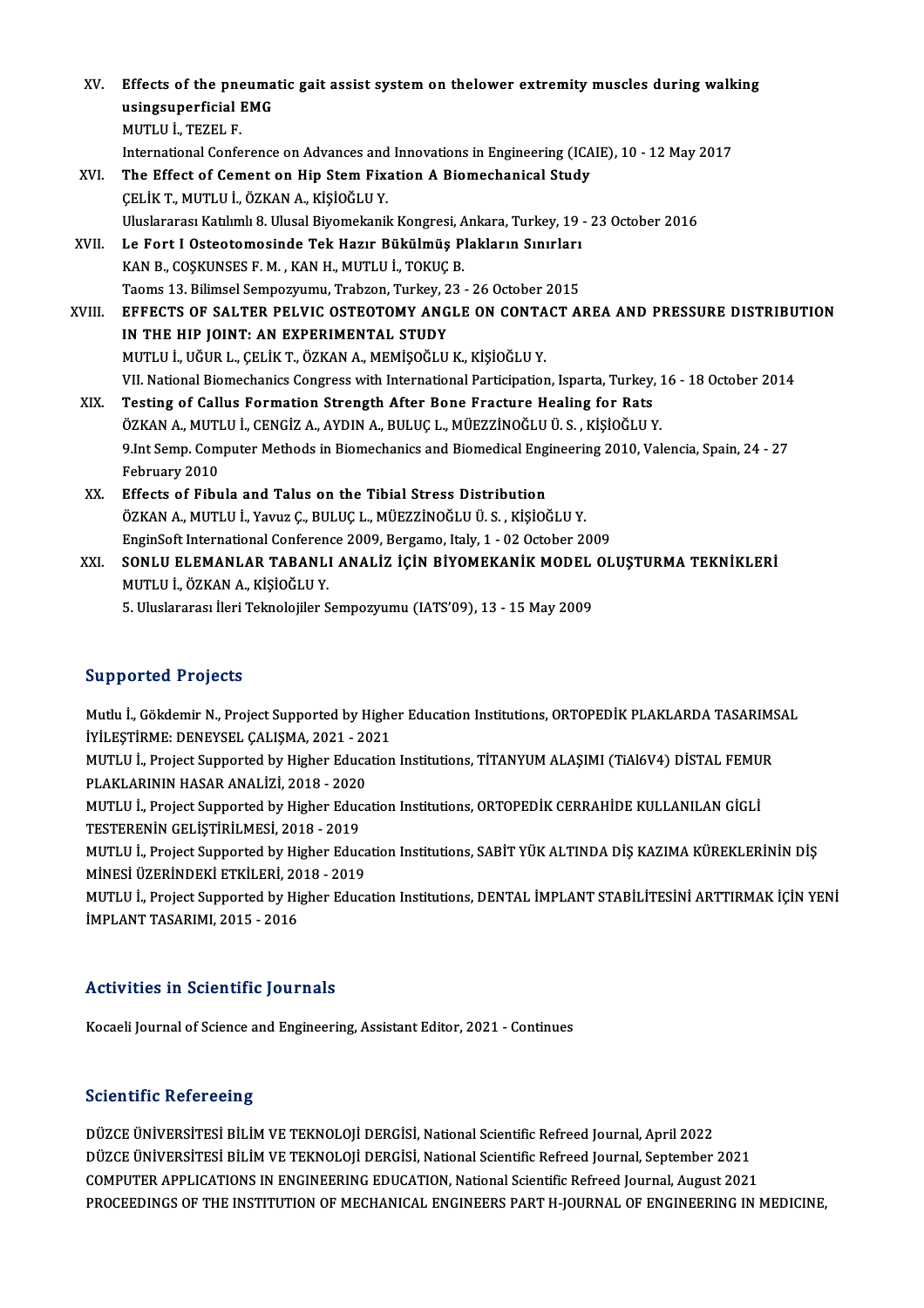| XV.    | Effects of the pneumatic gait assist system on thelower extremity muscles during walking<br>usingsuperficial EMG |
|--------|------------------------------------------------------------------------------------------------------------------|
|        | MUTLU İ., TEZEL F.                                                                                               |
|        | International Conference on Advances and Innovations in Engineering (ICAIE), 10 - 12 May 2017                    |
| XVI.   | The Effect of Cement on Hip Stem Fixation A Biomechanical Study                                                  |
|        | ÇELİK T., MUTLU İ., ÖZKAN A., KİŞİOĞLU Y.                                                                        |
|        | Uluslararası Katılımlı 8. Ulusal Biyomekanik Kongresi, Ankara, Turkey, 19 - 23 October 2016                      |
| XVII.  | Le Fort I Osteotomosinde Tek Hazır Bükülmüş Plakların Sınırları                                                  |
|        | KAN B., COŞKUNSES F. M., KAN H., MUTLU İ., TOKUÇ B.                                                              |
|        | Taoms 13. Bilimsel Sempozyumu, Trabzon, Turkey, 23 - 26 October 2015                                             |
| XVIII. | EFFECTS OF SALTER PELVIC OSTEOTOMY ANGLE ON CONTACT AREA AND PRESSURE DISTRIBUTION                               |
|        | IN THE HIP JOINT: AN EXPERIMENTAL STUDY                                                                          |
|        | MUTLU İ., UĞUR L., ÇELİK T., ÖZKAN A., MEMİŞOĞLU K., KİŞİOĞLU Y.                                                 |
|        | VII. National Biomechanics Congress with International Participation, Isparta, Turkey, 16 - 18 October 2014      |
| XIX.   | Testing of Callus Formation Strength After Bone Fracture Healing for Rats                                        |
|        | ÖZKAN A., MUTLU İ., CENGİZ A., AYDIN A., BULUÇ L., MÜEZZİNOĞLU Ü. S. , KİŞİOĞLU Y.                               |
|        | 9.Int Semp. Computer Methods in Biomechanics and Biomedical Engineering 2010, Valencia, Spain, 24 - 27           |
|        | February 2010                                                                                                    |
| XX.    | Effects of Fibula and Talus on the Tibial Stress Distribution                                                    |
|        | ÖZKAN A., MUTLU İ., Yavuz Ç., BULUÇ L., MÜEZZİNOĞLU Ü. S., KİŞİOĞLU Y.                                           |
|        | EnginSoft International Conference 2009, Bergamo, Italy, 1 - 02 October 2009                                     |
| XXI.   | SONLU ELEMANLAR TABANLI ANALİZ İÇİN BİYOMEKANİK MODEL OLUŞTURMA TEKNİKLERİ                                       |
|        | MUTLU İ, ÖZKAN A, KİŞİOĞLU Y.                                                                                    |

5.Uluslararası İleriTeknolojiler Sempozyumu (IATS'09),13 -15May2009

#### Supported Projects

Mutlu İ., Gökdemir N., Project Supported by Higher Education Institutions, ORTOPEDİK PLAKLARDA TASARIMSAL Bupporteu 110jects<br>Mutlu İ., Gökdemir N., Project Supported by Highe<br>İYİLEŞTİRME: DENEYSEL ÇALIŞMA, 2021 - 2021<br>MUTLU İ. Brajast Supported by Hisbor Education Mutlu İ., Gökdemir N., Project Supported by Higher Education Institutions, ORTOPEDİK PLAKLARDA TASARIMS<br>İYİLEŞTİRME: DENEYSEL ÇALIŞMA, 2021 - 2021<br>MUTLU İ., Project Supported by Higher Education Institutions, TİTANYUM ALAŞ

İYİLEŞTİRME: DENEYSEL ÇALIŞMA, 2021 - 20<br>MUTLU İ., Project Supported by Higher Educa<br>PLAKLARININ HASAR ANALİZİ, 2018 - 2020<br>MUTLU İ. Project Supported bu Higher Educa MUTLU İ., Project Supported by Higher Education Institutions, TİTANYUM ALAŞIMI (TiAl6V4) DİSTAL FEMU<br>PLAKLARININ HASAR ANALİZİ, 2018 - 2020<br>MUTLU İ., Project Supported by Higher Education Institutions, ORTOPEDİK CERRAHİDE

PLAKLARININ HASAR ANALİZİ, 2018 - 2020<br>MUTLU İ., Project Supported by Higher Education Institutions, ORTOPEDİK CERRAHİDE KULLANILAN GİGLİ<br>TESTERENİN GELİŞTİRİLMESİ, 2018 - 2019 MUTLU İ., Project Supported by Higher Education Institutions, ORTOPEDİK CERRAHİDE KULLANILAN GİGLİ<br>TESTERENİN GELİŞTİRİLMESİ, 2018 - 2019<br>MUTLU İ., Project Supported by Higher Education Institutions, SABİT YÜK ALTINDA DİŞ

TESTERENIN GELIŞTIRILMESI, 2018 - 2019<br>MUTLU İ., Project Supported by Higher Educa<br>MİNESİ ÜZERİNDEKİ ETKİLERİ, 2018 - 2019<br>MUTLU İ. Project Supported bu Higher Educa MUTLU İ., Project Supported by Higher Education Institutions, SABİT YÜK ALTINDA DİŞ KAZIMA KÜREKLERİNİN DİŞ<br>MİNESİ ÜZERİNDEKİ ETKİLERİ, 2018 - 2019<br>MUTLU İ., Project Supported by Higher Education Institutions, DENTAL İMPLA

MİNESİ ÜZERİNDEKİ ETKİLERİ, 2018 - 2019<br>MUTLU İ., Project Supported by Higher Education Institutions, DENTAL İMPLANT STABİLİTESİNİ ARTTIRMAK İÇİN YENİ<br>İMPLANT TASARIMI, 2015 - 2016

### Activities in Scientific Journals

Kocaeli Journal of Science and Engineering, Assistant Editor, 2021 - Continues

### **Scientific Refereeing**

DÜZCEÜNİVERSİTESİBİLİMVETEKNOLOJİDERGİSİ,NationalScientificRefreed Journal,April2022 DÜZCE ÜNIVERSİTESİ BİLİM VE TEKNOLOJİ DERGİSİ, National Scientific Refreed Journal, September 2021 DÜZCE ÜNİVERSİTESİ BİLİM VE TEKNOLOJİ DERGİSİ, National Scientific Refreed Journal, April 2022<br>DÜZCE ÜNİVERSİTESİ BİLİM VE TEKNOLOJİ DERGİSİ, National Scientific Refreed Journal, September 2021<br>COMPUTER APPLICATIONS IN ENG DÜZCE ÜNIVERSITESI BILIM VE TEKNOLOJI DERGISI, National Scientific Refreed Journal, September 2021<br>COMPUTER APPLICATIONS IN ENGINEERING EDUCATION, National Scientific Refreed Journal, August 2021<br>PROCEEDINGS OF THE INSTITU